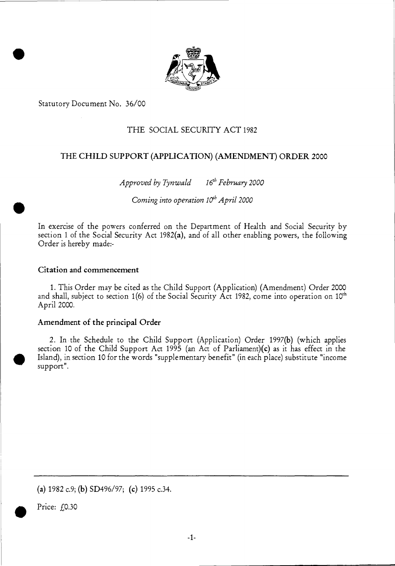

Statutory Document No. 36/00

•

# THE SOCIAL SECURITY ACT 1982

## THE CHILD SUPPORT (APPLICATION) (AMENDMENT) ORDER 2000

*Approved by Tynwald 16<sup>th</sup> February 2000* 

Coming into operation  $10^{th}$  April 2000

In exercise of the powers conferred on the Department of Health and Social Security by section 1 of the Social Security Act 1982(a), and of all other enabling powers, the following Order is hereby made:-

### Citation and commencement

1. This Order may be cited as the Child Support (Application) (Amendment) Order 2000 and shall, subject to section 1(6) of the Social Security Act 1982, come into operation on 10<sup>th</sup> April 2000.

#### Amendment of the principal Order

2. In the Schedule to the Child Support (Application) Order 1997(b) (which applies section 10 of the Child Support Act 1995 (an Act of Parliament)(c) as it has effect in the Island), in section 10 for the words "supplementary benefit" (in each place) substitute "income support".

(a)  $1982 \text{ c.9}$ ; (b)  $SD496/97$ ; (c)  $1995 \text{ c.34}$ .

Price:  $f(0.30)$